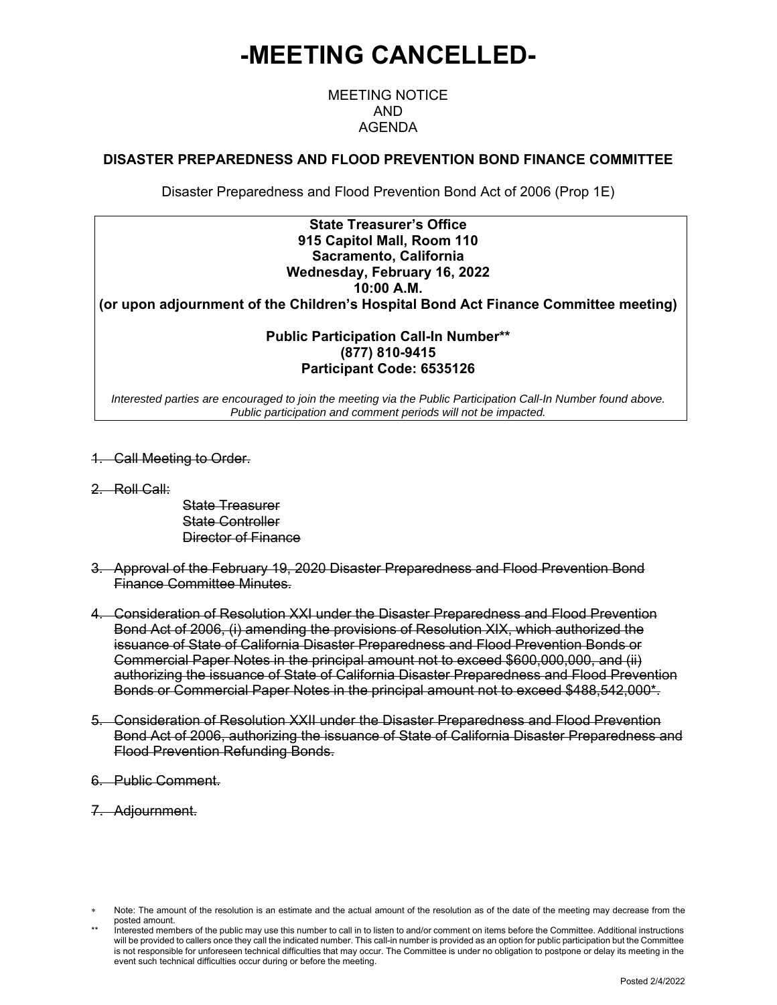# **-MEETING CANCELLED-**

## MEETING NOTICE AND AGENDA

#### **DISASTER PREPAREDNESS AND FLOOD PREVENTION BOND FINANCE COMMITTEE**

Disaster Preparedness and Flood Prevention Bond Act of 2006 (Prop 1E)

#### **State Treasurer's Office 915 Capitol Mall, Room 110 Sacramento, California Wednesday, February 16, 2022 10:00 A.M.**

**(or upon adjournment of the Children's Hospital Bond Act Finance Committee meeting)** 

#### **Public Participation Call-In Number\*\* (877) 810-9415 Participant Code: 6535126**

*Interested parties are encouraged to join the meeting via the Public Participation Call-In Number found above. Public participation and comment periods will not be impacted.*

- 1. Call Meeting to Order.
- 2. Roll Call:
- State Treasurer State Controller Director of Finance
- 3. Approval of the February 19, 2020 Disaster Preparedness and Flood Prevention Bond Finance Committee Minutes.
- 4. Consideration of Resolution XXI under the Disaster Preparedness and Flood Prevention Bond Act of 2006, (i) amending the provisions of Resolution XIX, which authorized the issuance of State of California Disaster Preparedness and Flood Prevention Bonds or Commercial Paper Notes in the principal amount not to exceed \$600,000,000, and (ii) authorizing the issuance of State of California Disaster Preparedness and Flood Prevention Bonds or Commercial Paper Notes in the principal amount not to exceed \$488,542,000\*.
- 5. Consideration of Resolution XXII under the Disaster Preparedness and Flood Prevention Bond Act of 2006, authorizing the issuance of State of California Disaster Preparedness and Flood Prevention Refunding Bonds.
- 6. Public Comment.
- 7. Adjournment.

Note: The amount of the resolution is an estimate and the actual amount of the resolution as of the date of the meeting may decrease from the posted amount.

Interested members of the public may use this number to call in to listen to and/or comment on items before the Committee. Additional instructions will be provided to callers once they call the indicated number. This call-in number is provided as an option for public participation but the Committee is not responsible for unforeseen technical difficulties that may occur. The Committee is under no obligation to postpone or delay its meeting in the event such technical difficulties occur during or before the meeting.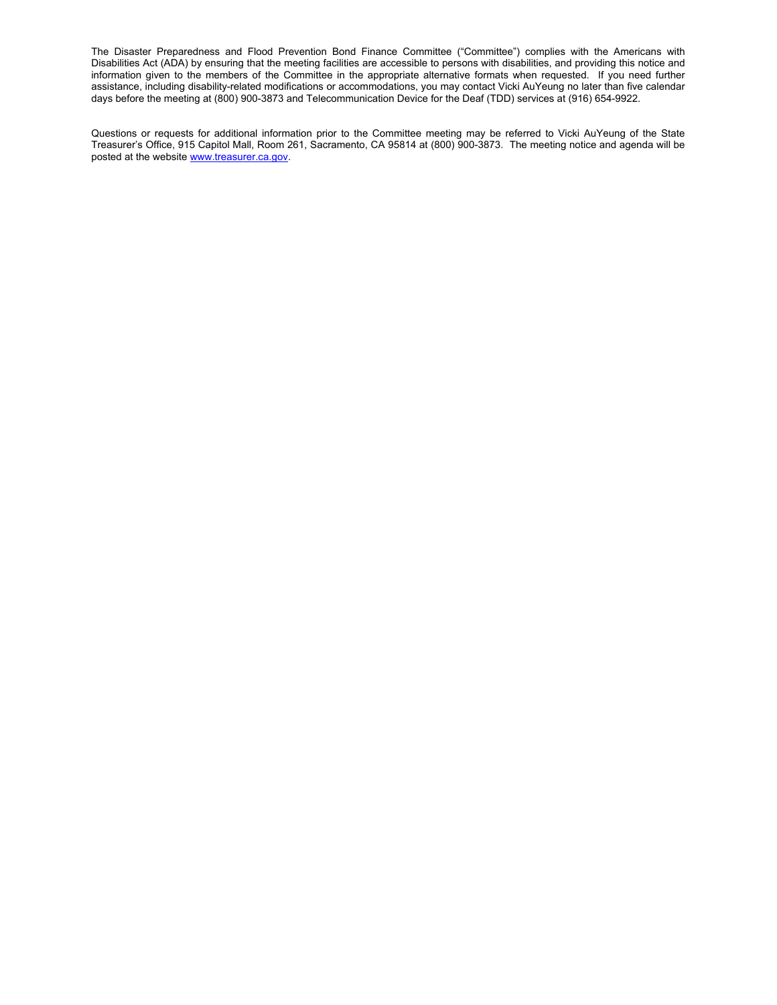The Disaster Preparedness and Flood Prevention Bond Finance Committee ("Committee") complies with the Americans with Disabilities Act (ADA) by ensuring that the meeting facilities are accessible to persons with disabilities, and providing this notice and information given to the members of the Committee in the appropriate alternative formats when requested. If you need further assistance, including disability-related modifications or accommodations, you may contact Vicki AuYeung no later than five calendar days before the meeting at (800) 900-3873 and Telecommunication Device for the Deaf (TDD) services at (916) 654-9922.

Questions or requests for additional information prior to the Committee meeting may be referred to Vicki AuYeung of the State Treasurer's Office, 915 Capitol Mall, Room 261, Sacramento, CA 95814 at (800) 900-3873. The meeting notice and agenda will be posted at the website www.treasurer.ca.gov.